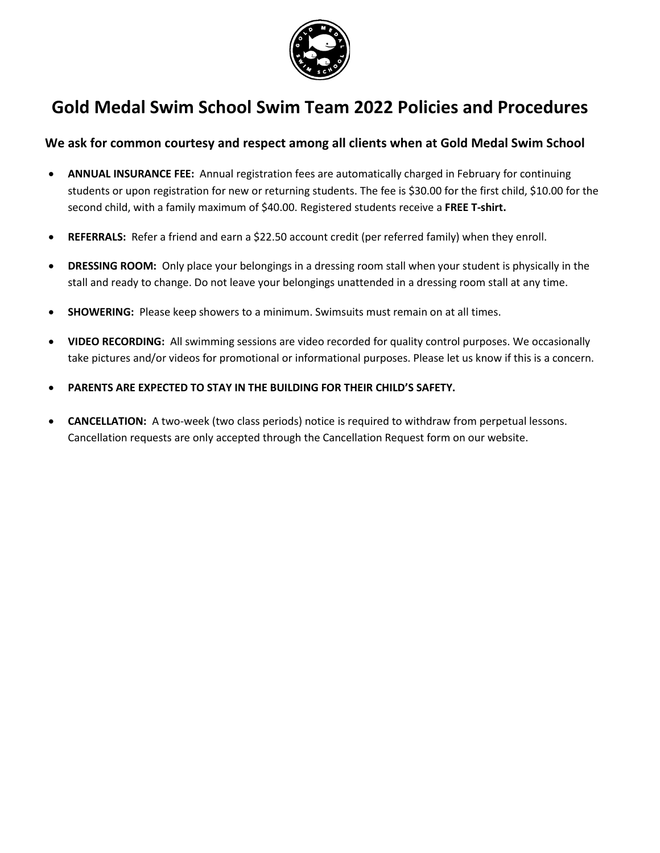

## **Gold Medal Swim School Swim Team 2022 Policies and Procedures**

## **We ask for common courtesy and respect among all clients when at Gold Medal Swim School**

- **ANNUAL INSURANCE FEE:** Annual registration fees are automatically charged in February for continuing students or upon registration for new or returning students. The fee is \$30.00 for the first child, \$10.00 for the second child, with a family maximum of \$40.00. Registered students receive a **FREE T-shirt.**
- **REFERRALS:** Refer a friend and earn a \$22.50 account credit (per referred family) when they enroll.
- **DRESSING ROOM:** Only place your belongings in a dressing room stall when your student is physically in the stall and ready to change. Do not leave your belongings unattended in a dressing room stall at any time.
- **SHOWERING:** Please keep showers to a minimum. Swimsuits must remain on at all times.
- **VIDEO RECORDING:** All swimming sessions are video recorded for quality control purposes. We occasionally take pictures and/or videos for promotional or informational purposes. Please let us know if this is a concern.
- **PARENTS ARE EXPECTED TO STAY IN THE BUILDING FOR THEIR CHILD'S SAFETY.**
- **CANCELLATION:** A two-week (two class periods) notice is required to withdraw from perpetual lessons. Cancellation requests are only accepted through the Cancellation Request form on our website.